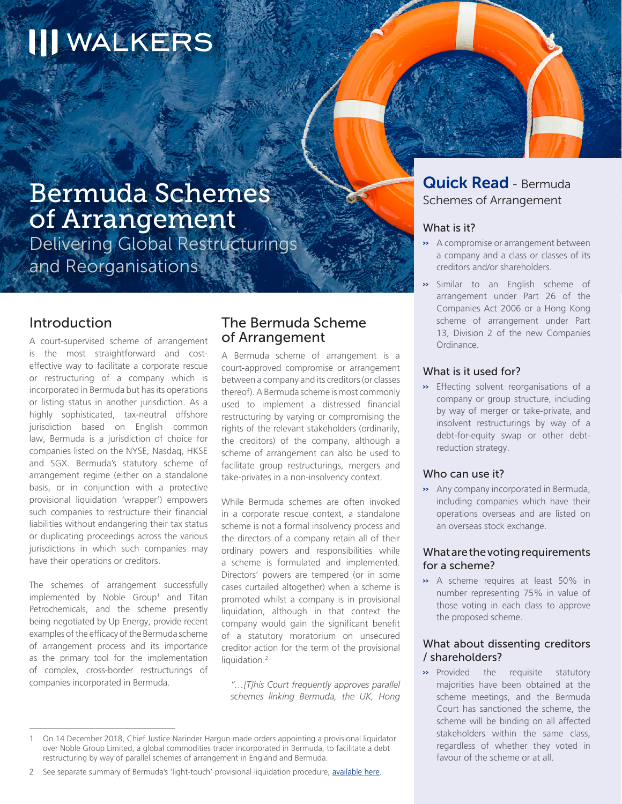# **III WALKERS**

# Bermuda Schemes of Arrangement

Delivering Global Restructurings and Reorganisations

# Introduction

A court-supervised scheme of arrangement is the most straightforward and costeffective way to facilitate a corporate rescue or restructuring of a company which is incorporated in Bermuda but has its operations or listing status in another jurisdiction. As a highly sophisticated, tax-neutral offshore jurisdiction based on English common law, Bermuda is a jurisdiction of choice for companies listed on the NYSE, Nasdaq, HKSE and SGX. Bermuda's statutory scheme of arrangement regime (either on a standalone basis, or in conjunction with a protective provisional liquidation 'wrapper') empowers such companies to restructure their financial liabilities without endangering their tax status or duplicating proceedings across the various jurisdictions in which such companies may have their operations or creditors.

The schemes of arrangement successfully implemented by Noble Group<sup>1</sup> and Titan Petrochemicals, and the scheme presently being negotiated by Up Energy, provide recent examples of the efficacy of the Bermuda scheme of arrangement process and its importance as the primary tool for the implementation of complex, cross-border restructurings of companies incorporated in Bermuda.

# The Bermuda Scheme of Arrangement

A Bermuda scheme of arrangement is a court-approved compromise or arrangement between a company and its creditors (or classes thereof). A Bermuda scheme is most commonly used to implement a distressed financial restructuring by varying or compromising the rights of the relevant stakeholders (ordinarily, the creditors) of the company, although a scheme of arrangement can also be used to facilitate group restructurings, mergers and take-privates in a non-insolvency context.

While Bermuda schemes are often invoked in a corporate rescue context, a standalone scheme is not a formal insolvency process and the directors of a company retain all of their ordinary powers and responsibilities while a scheme is formulated and implemented. Directors' powers are tempered (or in some cases curtailed altogether) when a scheme is promoted whilst a company is in provisional liquidation, although in that context the company would gain the significant benefit of a statutory moratorium on unsecured creditor action for the term of the provisional liquidation.<sup>2</sup>

*"…[T]his Court frequently approves parallel schemes linking Bermuda, the UK, Hong* 

# Quick Read - Bermuda Schemes of Arrangement

Bermuda Schemes of Arrangement and Arrangement and Arrangement and Arrangement and Delivering Global Restructurings and Reorganisations

#### What is it?

- >> A compromise or arrangement between a company and a class or classes of its creditors and/or shareholders.
- >> Similar to an English scheme of arrangement under Part 26 of the Companies Act 2006 or a Hong Kong scheme of arrangement under Part 13, Division 2 of the new Companies Ordinance.

#### What is it used for?

>> Effecting solvent reorganisations of a company or group structure, including by way of merger or take-private, and insolvent restructurings by way of a debt-for-equity swap or other debtreduction strategy.

#### Who can use it?

>> Any company incorporated in Bermuda, including companies which have their operations overseas and are listed on an overseas stock exchange.

#### What are the voting requirements for a scheme?

>> A scheme requires at least 50% in number representing 75% in value of those voting in each class to approve the proposed scheme.

#### What about dissenting creditors / shareholders?

>> Provided the requisite statutory majorities have been obtained at the scheme meetings, and the Bermuda Court has sanctioned the scheme, the scheme will be binding on all affected stakeholders within the same class, regardless of whether they voted in favour of the scheme or at all.

<sup>1</sup> On 14 December 2018, Chief Justice Narinder Hargun made orders appointing a provisional liquidator over Noble Group Limited, a global commodities trader incorporated in Bermuda, to facilitate a debt restructuring by way of parallel schemes of arrangement in England and Bermuda.

<sup>2</sup> See separate summary of Bermuda's 'light-touch' provisional liquidation procedure, available [here.](https://www.walkersglobal.com/images/Publications/Articles/2018/09.06.2018_Bermudas_Light_Touch_Approach_-to_Cross_Border_Restructuring.pdf)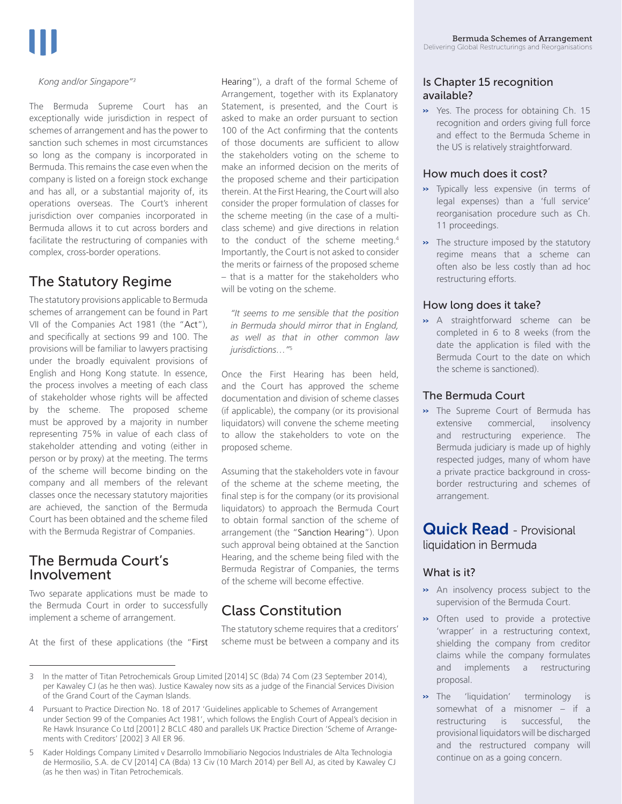#### *Kong and/or Singapore"3*

The Bermuda Supreme Court has an exceptionally wide jurisdiction in respect of schemes of arrangement and has the power to sanction such schemes in most circumstances so long as the company is incorporated in Bermuda. This remains the case even when the company is listed on a foreign stock exchange and has all, or a substantial majority of, its operations overseas. The Court's inherent jurisdiction over companies incorporated in Bermuda allows it to cut across borders and facilitate the restructuring of companies with complex, cross-border operations.

# The Statutory Regime

The statutory provisions applicable to Bermuda schemes of arrangement can be found in Part VII of the Companies Act 1981 (the "Act"), and specifically at sections 99 and 100. The provisions will be familiar to lawyers practising under the broadly equivalent provisions of English and Hong Kong statute. In essence, the process involves a meeting of each class of stakeholder whose rights will be affected by the scheme. The proposed scheme must be approved by a majority in number representing 75% in value of each class of stakeholder attending and voting (either in person or by proxy) at the meeting. The terms of the scheme will become binding on the company and all members of the relevant classes once the necessary statutory majorities are achieved, the sanction of the Bermuda Court has been obtained and the scheme filed with the Bermuda Registrar of Companies.

# The Bermuda Court's Involvement

Two separate applications must be made to the Bermuda Court in order to successfully implement a scheme of arrangement.

At the first of these applications (the "First

Hearing"), a draft of the formal Scheme of Arrangement, together with its Explanatory Statement, is presented, and the Court is asked to make an order pursuant to section 100 of the Act confirming that the contents of those documents are sufficient to allow the stakeholders voting on the scheme to make an informed decision on the merits of the proposed scheme and their participation therein. At the First Hearing, the Court will also consider the proper formulation of classes for the scheme meeting (in the case of a multiclass scheme) and give directions in relation to the conduct of the scheme meeting.<sup>4</sup> Importantly, the Court is not asked to consider the merits or fairness of the proposed scheme – that is a matter for the stakeholders who will be voting on the scheme.

*"It seems to me sensible that the position in Bermuda should mirror that in England, as well as that in other common law jurisdictions…"*<sup>5</sup>

Once the First Hearing has been held, and the Court has approved the scheme documentation and division of scheme classes (if applicable), the company (or its provisional liquidators) will convene the scheme meeting to allow the stakeholders to vote on the proposed scheme.

Assuming that the stakeholders vote in favour of the scheme at the scheme meeting, the final step is for the company (or its provisional liquidators) to approach the Bermuda Court to obtain formal sanction of the scheme of arrangement (the "Sanction Hearing"). Upon such approval being obtained at the Sanction Hearing, and the scheme being filed with the Bermuda Registrar of Companies, the terms of the scheme will become effective.

# Class Constitution

The statutory scheme requires that a creditors' scheme must be between a company and its

#### Is Chapter 15 recognition available?

>> Yes. The process for obtaining Ch. 15 recognition and orders giving full force and effect to the Bermuda Scheme in the US is relatively straightforward.

#### How much does it cost?

- >> Typically less expensive (in terms of legal expenses) than a 'full service' reorganisation procedure such as Ch. 11 proceedings.
- >> The structure imposed by the statutory regime means that a scheme can often also be less costly than ad hoc restructuring efforts.

#### How long does it take?

>> A straightforward scheme can be completed in 6 to 8 weeks (from the date the application is filed with the Bermuda Court to the date on which the scheme is sanctioned).

#### The Bermuda Court

>> The Supreme Court of Bermuda has extensive commercial, insolvency and restructuring experience. The Bermuda judiciary is made up of highly respected judges, many of whom have a private practice background in crossborder restructuring and schemes of arrangement.

# Quick Read - Provisional liquidation in Bermuda

#### What is it?

- >> An insolvency process subject to the supervision of the Bermuda Court.
- >> Often used to provide a protective 'wrapper' in a restructuring context, shielding the company from creditor claims while the company formulates and implements a restructuring proposal.
- >> The 'liquidation' terminology is somewhat of a misnomer – if a restructuring is successful, the provisional liquidators will be discharged and the restructured company will continue on as a going concern.

<sup>3</sup> In the matter of Titan Petrochemicals Group Limited [2014] SC (Bda) 74 Com (23 September 2014), per Kawaley CJ (as he then was). Justice Kawaley now sits as a judge of the Financial Services Division of the Grand Court of the Cayman Islands.

<sup>4</sup> Pursuant to Practice Direction No. 18 of 2017 'Guidelines applicable to Schemes of Arrangement under Section 99 of the Companies Act 1981', which follows the English Court of Appeal's decision in Re Hawk Insurance Co Ltd [2001] 2 BCLC 480 and parallels UK Practice Direction 'Scheme of Arrangements with Creditors' [2002] 3 All ER 96.

<sup>5</sup> Kader Holdings Company Limited v Desarrollo Immobiliario Negocios Industriales de Alta Technologia de Hermosilio, S.A. de CV [2014] CA (Bda) 13 Civ (10 March 2014) per Bell AJ, as cited by Kawaley CJ (as he then was) in Titan Petrochemicals.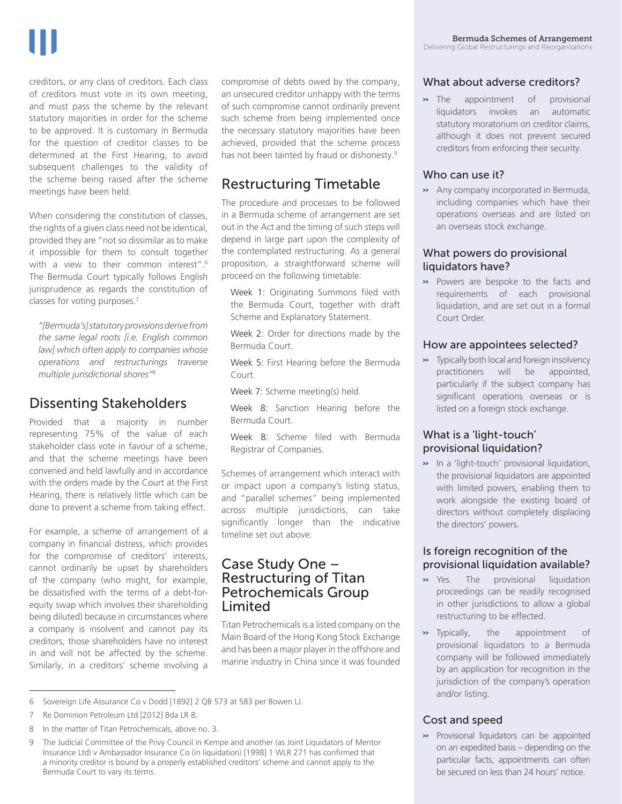creditors, or any class of creditors. Each class of creditors must vote in its own meeting, and must pass the scheme by the relevant statutory majorities in order for the scheme to be approved. It is customary in Bermuda for the question of creditor classes to be determined at the First Hearing, to avoid subsequent challenges to the validity of the scheme being raised after the scheme meetings have been held.

When considering the constitution of classes, the rights of a given class need not be identical, provided they are "not so dissimilar as to make it impossible for them to consult together with a view to their common interest".<sup>6</sup> The Bermuda Court typically follows English jurisprudence as regards the constitution of classes for voting purposes.7

*"[Bermuda's] statutory provisions derive from the same legal roots [i.e. English common law] which often apply to companies whose operations and restructurings traverse multiple jurisdictional shores"*<sup>8</sup>

# Dissenting Stakeholders

Provided that a majority in number representing 75% of the value of each stakeholder class vote in favour of a scheme, and that the scheme meetings have been convened and held lawfully and in accordance with the orders made by the Court at the First Hearing, there is relatively little which can be done to prevent a scheme from taking effect.

For example, a scheme of arrangement of a company in financial distress, which provides for the compromise of creditors' interests, cannot ordinarily be upset by shareholders of the company (who might, for example, be dissatisfied with the terms of a debt-forequity swap which involves their shareholding being diluted) because in circumstances where a company is insolvent and cannot pay its creditors, those shareholders have no interest in and will not be affected by the scheme. Similarly, in a creditors' scheme involving a

compromise of debts owed by the company, an unsecured creditor unhappy with the terms of such compromise cannot ordinarily prevent such scheme from being implemented once the necessary statutory majorities have been achieved, provided that the scheme process has not been tainted by fraud or dishonesty.<sup>9</sup>

# Restructuring Timetable

The procedure and processes to be followed in a Bermuda scheme of arrangement are set out in the Act and the timing of such steps will depend in large part upon the complexity of the contemplated restructuring. As a general proposition, a straightforward scheme will proceed on the following timetable:

Week 1: Originating Summons filed with the Bermuda Court, together with draft Scheme and Explanatory Statement.

Week 2: Order for directions made by the Bermuda Court.

Week 5: First Hearing before the Bermuda Court.

Week 7: Scheme meeting(s) held.

Week 8: Sanction Hearing before the Bermuda Court.

Week 8: Scheme filed with Bermuda Registrar of Companies.

Schemes of arrangement which interact with or impact upon a company's listing status, and "parallel schemes" being implemented across multiple jurisdictions, can take significantly longer than the indicative timeline set out above.

# Case Study One – Restructuring of Titan Petrochemicals Group Limited

Titan Petrochemicals is a listed company on the Main Board of the Hong Kong Stock Exchange and has been a major player in the offshore and marine industry in China since it was founded

# What about adverse creditors?

>> The appointment of provisional liquidators invokes an automatic statutory moratorium on creditor claims, although it does not prevent secured creditors from enforcing their security.

# Who can use it?

>> Any company incorporated in Bermuda, including companies which have their operations overseas and are listed on an overseas stock exchange.

### What powers do provisional liquidators have?

>> Powers are bespoke to the facts and requirements of each provisional liquidation, and are set out in a formal Court Order.

# How are appointees selected?

>> Typically both local and foreign insolvency practitioners will be appointed, particularly if the subject company has significant operations overseas or is listed on a foreign stock exchange.

# What is a 'light-touch' provisional liquidation?

>> In a 'light-touch' provisional liquidation, the provisional liquidators are appointed with limited powers, enabling them to work alongside the existing board of directors without completely displacing the directors' powers.

### Is foreign recognition of the provisional liquidation available?

- >> Yes. The provisional liquidation proceedings can be readily recognised in other jurisdictions to allow a global restructuring to be effected.
- >> Typically, the appointment of provisional liquidators to a Bermuda company will be followed immediately by an application for recognition in the jurisdiction of the company's operation and/or listing.

# Cost and speed

>> Provisional liquidators can be appointed on an expedited basis – depending on the particular facts, appointments can often be secured on less than 24 hours' notice.

<sup>6</sup> Sovereign Life Assurance Co v Dodd [1892] 2 QB 573 at 583 per Bowen LJ.

<sup>7</sup> Re Dominion Petroleum Ltd [2012] Bda LR 8.

<sup>8</sup> In the matter of Titan Petrochemicals, above no. 3.

<sup>9</sup> The Judicial Committee of the Privy Council in Kempe and another (as Joint Liquidators of Mentor Insurance Ltd) v Ambassador Insurance Co (in liquidation) [1998] 1 WLR 271 has confirmed that a minority creditor is bound by a properly established creditors' scheme and cannot apply to the Bermuda Court to vary its terms.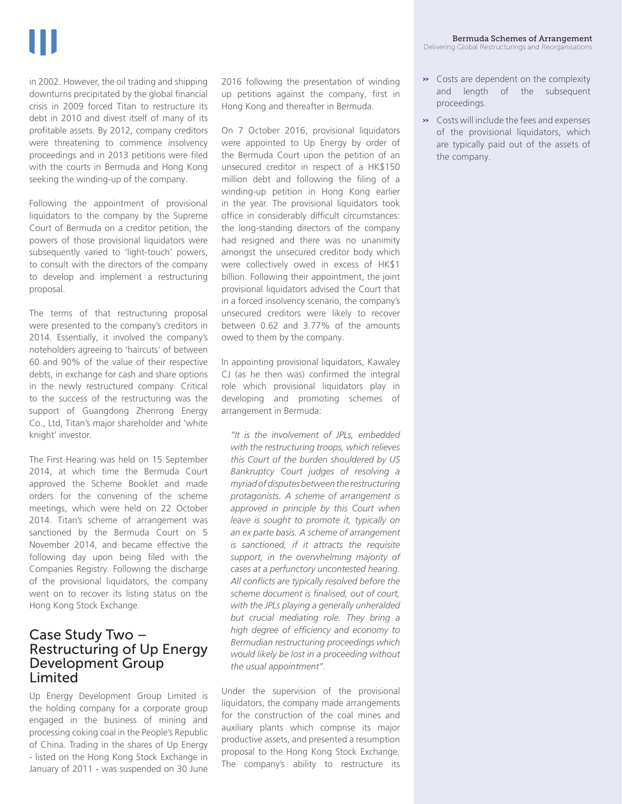in 2002. However, the oil trading and shipping downturns precipitated by the global financial crisis in 2009 forced Titan to restructure its debt in 2010 and divest itself of many of its profitable assets. By 2012, company creditors were threatening to commence insolvency proceedings and in 2013 petitions were filed with the courts in Bermuda and Hong Kong seeking the winding-up of the company.

Following the appointment of provisional liquidators to the company by the Supreme Court of Bermuda on a creditor petition, the powers of those provisional liquidators were subsequently varied to 'light-touch' powers, to consult with the directors of the company to develop and implement a restructuring proposal.

The terms of that restructuring proposal were presented to the company's creditors in 2014. Essentially, it involved the company's noteholders agreeing to 'haircuts' of between 60 and 90% of the value of their respective debts, in exchange for cash and share options in the newly restructured company. Critical to the success of the restructuring was the support of Guangdong Zhenrong Energy Co., Ltd, Titan's major shareholder and 'white knight' investor.

The First Hearing was held on 15 September 2014, at which time the Bermuda Court approved the Scheme Booklet and made orders for the convening of the scheme meetings, which were held on 22 October 2014. Titan's scheme of arrangement was sanctioned by the Bermuda Court on 5 November 2014, and became effective the following day upon being filed with the Companies Registry. Following the discharge of the provisional liquidators, the company went on to recover its listing status on the Hong Kong Stock Exchange.

# Case Study Two – Restructuring of Up Energy Development Group Limited

Up Energy Development Group Limited is the holding company for a corporate group engaged in the business of mining and processing coking coal in the People's Republic of China. Trading in the shares of Up Energy - listed on the Hong Kong Stock Exchange in January of 2011 - was suspended on 30 June

2016 following the presentation of winding up petitions against the company, first in Hong Kong and thereafter in Bermuda.

On 7 October 2016, provisional liquidators were appointed to Up Energy by order of the Bermuda Court upon the petition of an unsecured creditor in respect of a HK\$150 million debt and following the filing of a winding-up petition in Hong Kong earlier in the year. The provisional liquidators took office in considerably difficult circumstances: the long-standing directors of the company had resigned and there was no unanimity amongst the unsecured creditor body which were collectively owed in excess of HK\$1 billion. Following their appointment, the joint provisional liquidators advised the Court that in a forced insolvency scenario, the company's unsecured creditors were likely to recover between 0.62 and 3.77% of the amounts owed to them by the company.

In appointing provisional liquidators, Kawaley CJ (as he then was) confirmed the integral role which provisional liquidators play in developing and promoting schemes of arrangement in Bermuda:

*"It is the involvement of JPLs, embedded with the restructuring troops, which relieves this Court of the burden shouldered by US Bankruptcy Court judges of resolving a myriad of disputes between the restructuring protagonists. A scheme of arrangement is approved in principle by this Court when leave is sought to promote it, typically on an ex parte basis. A scheme of arrangement is sanctioned, if it attracts the requisite support, in the overwhelming majority of cases at a perfunctory uncontested hearing. All conflicts are typically resolved before the scheme document is finalised, out of court, with the JPLs playing a generally unheralded but crucial mediating role. They bring a high degree of efficiency and economy to Bermudian restructuring proceedings which would likely be lost in a proceeding without the usual appointment".*

Under the supervision of the provisional liquidators, the company made arrangements for the construction of the coal mines and auxiliary plants which comprise its major productive assets, and presented a resumption proposal to the Hong Kong Stock Exchange. The company's ability to restructure its

- >> Costs are dependent on the complexity and length of the subsequent proceedings.
- >> Costs will include the fees and expenses of the provisional liquidators, which are typically paid out of the assets of the company.